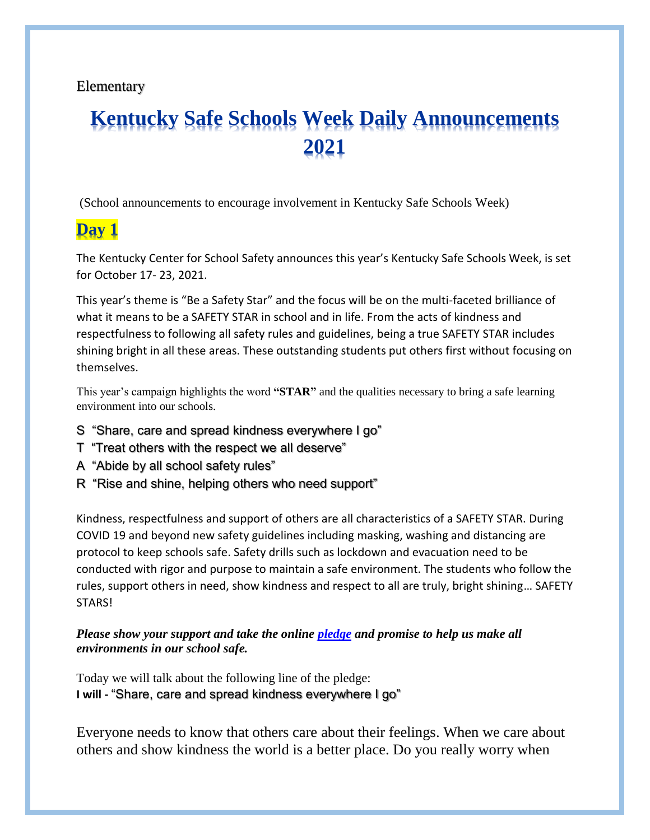Elementary

# **Kentucky Safe Schools Week Daily Announcements 2021**

(School announcements to encourage involvement in Kentucky Safe Schools Week)

# **Day 1**

The Kentucky Center for School Safety announces this year's Kentucky Safe Schools Week, is set for October 17- 23, 2021.

This year's theme is "Be a Safety Star" and the focus will be on the multi-faceted brilliance of what it means to be a SAFETY STAR in school and in life. From the acts of kindness and respectfulness to following all safety rules and guidelines, being a true SAFETY STAR includes shining bright in all these areas. These outstanding students put others first without focusing on themselves.

This year's campaign highlights the word **"STAR"** and the qualities necessary to bring a safe learning environment into our schools.

- S "Share, care and spread kindness everywhere I go"
- T "Treat others with the respect we all deserve"
- A "Abide by all school safety rules"
- R "Rise and shine, helping others who need support"

Kindness, respectfulness and support of others are all characteristics of a SAFETY STAR. During COVID 19 and beyond new safety guidelines including masking, washing and distancing are protocol to keep schools safe. Safety drills such as lockdown and evacuation need to be conducted with rigor and purpose to maintain a safe environment. The students who follow the rules, support others in need, show kindness and respect to all are truly, bright shining… SAFETY STARS!

### *Please show your support and take the online [pledge](https://kycss.org/safe-schools-week/safety-week-pledge/) and promise to help us make all environments in our school safe.*

Today we will talk about the following line of the pledge: **I will -** "Share, care and spread kindness everywhere I go"

Everyone needs to know that others care about their feelings. When we care about others and show kindness the world is a better place. Do you really worry when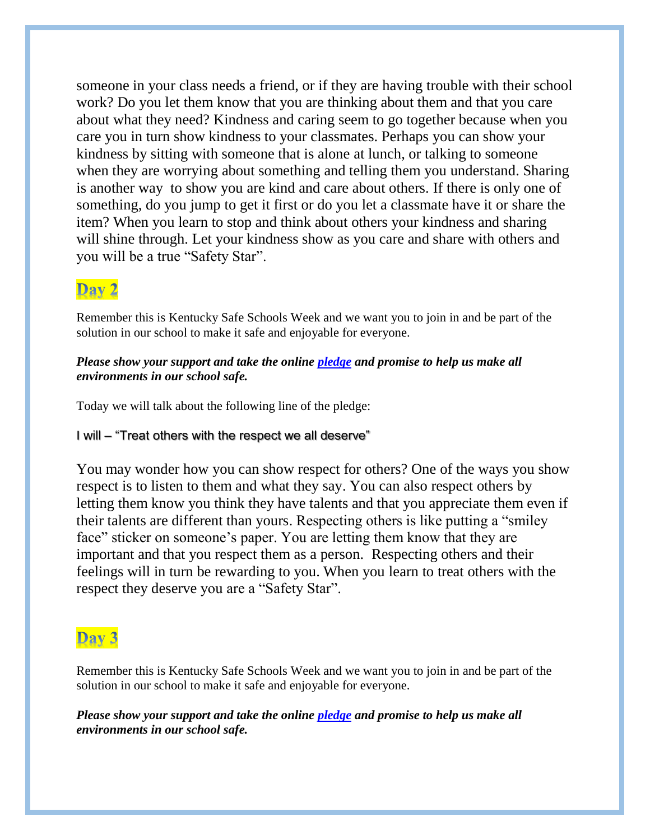someone in your class needs a friend, or if they are having trouble with their school work? Do you let them know that you are thinking about them and that you care about what they need? Kindness and caring seem to go together because when you care you in turn show kindness to your classmates. Perhaps you can show your kindness by sitting with someone that is alone at lunch, or talking to someone when they are worrying about something and telling them you understand. Sharing is another way to show you are kind and care about others. If there is only one of something, do you jump to get it first or do you let a classmate have it or share the item? When you learn to stop and think about others your kindness and sharing will shine through. Let your kindness show as you care and share with others and you will be a true "Safety Star".

# Day 2

Remember this is Kentucky Safe Schools Week and we want you to join in and be part of the solution in our school to make it safe and enjoyable for everyone.

#### *Please show your support and take the online [pledge](https://kycss.org/safe-schools-week/safety-week-pledge/) and promise to help us make all environments in our school safe.*

Today we will talk about the following line of the pledge:

#### I will – "Treat others with the respect we all deserve"

You may wonder how you can show respect for others? One of the ways you show respect is to listen to them and what they say. You can also respect others by letting them know you think they have talents and that you appreciate them even if their talents are different than yours. Respecting others is like putting a "smiley face" sticker on someone's paper. You are letting them know that they are important and that you respect them as a person. Respecting others and their feelings will in turn be rewarding to you. When you learn to treat others with the respect they deserve you are a "Safety Star".

# Day 3

Remember this is Kentucky Safe Schools Week and we want you to join in and be part of the solution in our school to make it safe and enjoyable for everyone.

*Please show your support and take the online [pledge](https://kycss.org/safe-schools-week/safety-week-pledge/) and promise to help us make all environments in our school safe.*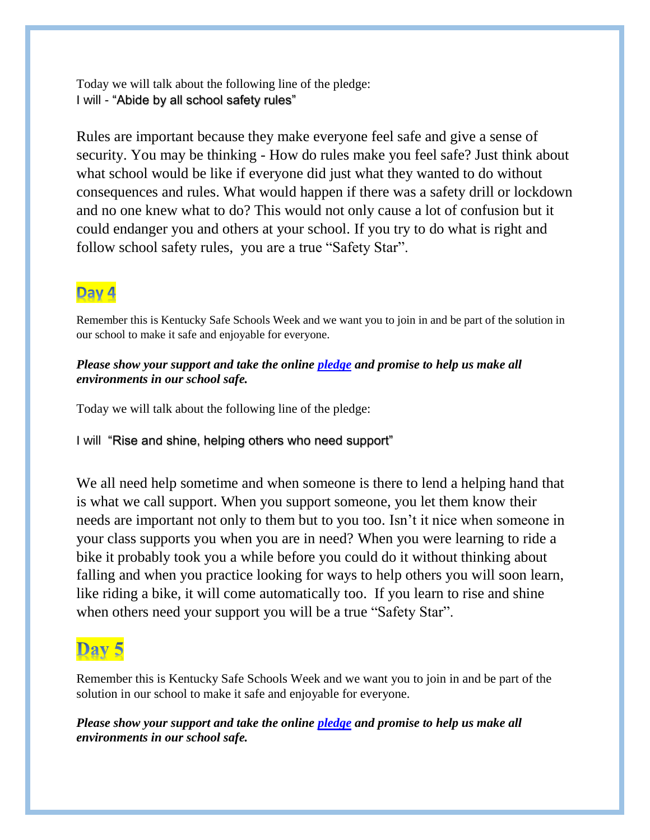Today we will talk about the following line of the pledge: I will - "Abide by all school safety rules"

Rules are important because they make everyone feel safe and give a sense of security. You may be thinking - How do rules make you feel safe? Just think about what school would be like if everyone did just what they wanted to do without consequences and rules. What would happen if there was a safety drill or lockdown and no one knew what to do? This would not only cause a lot of confusion but it could endanger you and others at your school. If you try to do what is right and follow school safety rules, you are a true "Safety Star".

# Dav 4

Remember this is Kentucky Safe Schools Week and we want you to join in and be part of the solution in our school to make it safe and enjoyable for everyone.

### *Please show your support and take the online [pledge](https://kycss.org/safe-schools-week/safety-week-pledge/) and promise to help us make all environments in our school safe.*

Today we will talk about the following line of the pledge:

I will "Rise and shine, helping others who need support"

We all need help sometime and when someone is there to lend a helping hand that is what we call support. When you support someone, you let them know their needs are important not only to them but to you too. Isn't it nice when someone in your class supports you when you are in need? When you were learning to ride a bike it probably took you a while before you could do it without thinking about falling and when you practice looking for ways to help others you will soon learn, like riding a bike, it will come automatically too. If you learn to rise and shine when others need your support you will be a true "Safety Star".

Remember this is Kentucky Safe Schools Week and we want you to join in and be part of the solution in our school to make it safe and enjoyable for everyone.

*Please show your support and take the online [pledge](https://kycss.org/safe-schools-week/safety-week-pledge/) and promise to help us make all environments in our school safe.*